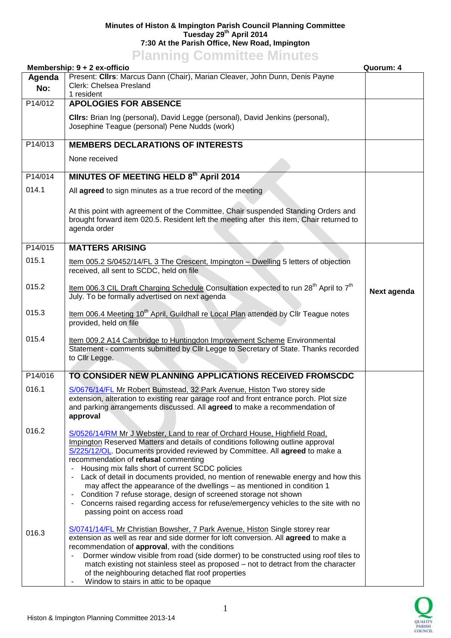## **Minutes of Histon & Impington Parish Council Planning Committee Tuesday 29th April 2014 7:30 At the Parish Office, New Road, Impington**

## **Planning Committee Minutes**

|               | Membership: 9 + 2 ex-officio                                                                                                                                                                                                                                                                                                                                                                                                                                                                                                                                                                                                                                                                                           |             |
|---------------|------------------------------------------------------------------------------------------------------------------------------------------------------------------------------------------------------------------------------------------------------------------------------------------------------------------------------------------------------------------------------------------------------------------------------------------------------------------------------------------------------------------------------------------------------------------------------------------------------------------------------------------------------------------------------------------------------------------------|-------------|
| Agenda<br>No: | Present: Clirs: Marcus Dann (Chair), Marian Cleaver, John Dunn, Denis Payne<br>Clerk: Chelsea Presland<br>1 resident                                                                                                                                                                                                                                                                                                                                                                                                                                                                                                                                                                                                   |             |
| P14/012       | <b>APOLOGIES FOR ABSENCE</b>                                                                                                                                                                                                                                                                                                                                                                                                                                                                                                                                                                                                                                                                                           |             |
|               | Clirs: Brian Ing (personal), David Legge (personal), David Jenkins (personal),<br>Josephine Teague (personal) Pene Nudds (work)                                                                                                                                                                                                                                                                                                                                                                                                                                                                                                                                                                                        |             |
| P14/013       | <b>MEMBERS DECLARATIONS OF INTERESTS</b>                                                                                                                                                                                                                                                                                                                                                                                                                                                                                                                                                                                                                                                                               |             |
|               | None received                                                                                                                                                                                                                                                                                                                                                                                                                                                                                                                                                                                                                                                                                                          |             |
| P14/014       | MINUTES OF MEETING HELD 8th April 2014                                                                                                                                                                                                                                                                                                                                                                                                                                                                                                                                                                                                                                                                                 |             |
| 014.1         | All agreed to sign minutes as a true record of the meeting                                                                                                                                                                                                                                                                                                                                                                                                                                                                                                                                                                                                                                                             |             |
|               | At this point with agreement of the Committee, Chair suspended Standing Orders and<br>brought forward item 020.5. Resident left the meeting after this item, Chair returned to<br>agenda order                                                                                                                                                                                                                                                                                                                                                                                                                                                                                                                         |             |
| P14/015       | <b>MATTERS ARISING</b>                                                                                                                                                                                                                                                                                                                                                                                                                                                                                                                                                                                                                                                                                                 |             |
| 015.1         | Item 005.2 S/0452/14/FL 3 The Crescent, Impington - Dwelling 5 letters of objection<br>received, all sent to SCDC, held on file                                                                                                                                                                                                                                                                                                                                                                                                                                                                                                                                                                                        |             |
| 015.2         | Item 006.3 CIL Draft Charging Schedule Consultation expected to run 28 <sup>th</sup> April to 7 <sup>th</sup><br>July. To be formally advertised on next agenda                                                                                                                                                                                                                                                                                                                                                                                                                                                                                                                                                        | Next agenda |
| 015.3         | Item 006.4 Meeting 10 <sup>th</sup> April, Guildhall re Local Plan attended by Cllr Teague notes<br>provided, held on file                                                                                                                                                                                                                                                                                                                                                                                                                                                                                                                                                                                             |             |
| 015.4         | Item 009.2 A14 Cambridge to Huntingdon Improvement Scheme Environmental<br>Statement - comments submitted by Cllr Legge to Secretary of State. Thanks recorded<br>to Cllr Legge.                                                                                                                                                                                                                                                                                                                                                                                                                                                                                                                                       |             |
| P14/016       | TO CONSIDER NEW PLANNING APPLICATIONS RECEIVED FROMSCDC                                                                                                                                                                                                                                                                                                                                                                                                                                                                                                                                                                                                                                                                |             |
| 016.1         | S/0676/14/FL Mr Robert Bumstead, 32 Park Avenue, Histon Two storey side<br>extension, alteration to existing rear garage roof and front entrance porch. Plot size<br>and parking arrangements discussed. All agreed to make a recommendation of<br>approval                                                                                                                                                                                                                                                                                                                                                                                                                                                            |             |
| 016.2         | S/0526/14/RM Mr J Webster, Land to rear of Orchard House, Highfield Road,<br>Impington Reserved Matters and details of conditions following outline approval<br>S/225/12/OL. Documents provided reviewed by Committee. All agreed to make a<br>recommendation of refusal commenting<br>Housing mix falls short of current SCDC policies<br>Lack of detail in documents provided, no mention of renewable energy and how this<br>may affect the appearance of the dwellings – as mentioned in condition 1<br>Condition 7 refuse storage, design of screened storage not shown<br>$\blacksquare$<br>- Concerns raised regarding access for refuse/emergency vehicles to the site with no<br>passing point on access road |             |
| 016.3         | S/0741/14/FL Mr Christian Bowsher, 7 Park Avenue, Histon Single storey rear<br>extension as well as rear and side dormer for loft conversion. All agreed to make a<br>recommendation of approval, with the conditions<br>Dormer window visible from road (side dormer) to be constructed using roof tiles to<br>match existing not stainless steel as proposed - not to detract from the character<br>of the neighbouring detached flat roof properties<br>Window to stairs in attic to be opaque                                                                                                                                                                                                                      |             |

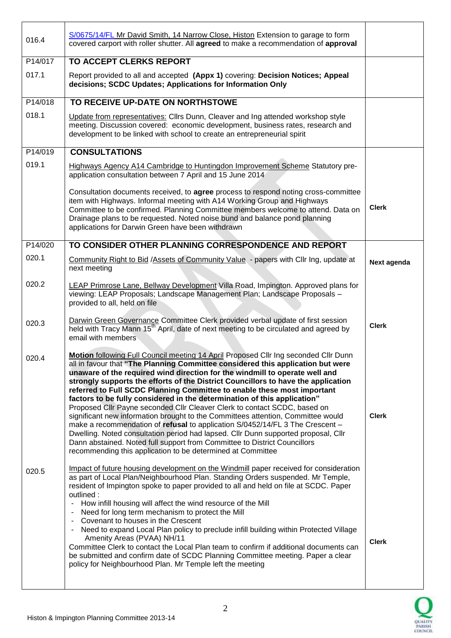| 016.4   | S/0675/14/FL Mr David Smith, 14 Narrow Close, Histon Extension to garage to form<br>covered carport with roller shutter. All agreed to make a recommendation of approval                                                                                                                                                                                                                                                                                                                                                                                                                                                                                                                                                                                                                                                                                                                                                                                                              |              |
|---------|---------------------------------------------------------------------------------------------------------------------------------------------------------------------------------------------------------------------------------------------------------------------------------------------------------------------------------------------------------------------------------------------------------------------------------------------------------------------------------------------------------------------------------------------------------------------------------------------------------------------------------------------------------------------------------------------------------------------------------------------------------------------------------------------------------------------------------------------------------------------------------------------------------------------------------------------------------------------------------------|--------------|
| P14/017 | TO ACCEPT CLERKS REPORT                                                                                                                                                                                                                                                                                                                                                                                                                                                                                                                                                                                                                                                                                                                                                                                                                                                                                                                                                               |              |
| 017.1   | Report provided to all and accepted (Appx 1) covering: Decision Notices; Appeal<br>decisions; SCDC Updates; Applications for Information Only                                                                                                                                                                                                                                                                                                                                                                                                                                                                                                                                                                                                                                                                                                                                                                                                                                         |              |
| P14/018 | TO RECEIVE UP-DATE ON NORTHSTOWE                                                                                                                                                                                                                                                                                                                                                                                                                                                                                                                                                                                                                                                                                                                                                                                                                                                                                                                                                      |              |
| 018.1   | Update from representatives: Cllrs Dunn, Cleaver and Ing attended workshop style<br>meeting. Discussion covered: economic development, business rates, research and<br>development to be linked with school to create an entrepreneurial spirit                                                                                                                                                                                                                                                                                                                                                                                                                                                                                                                                                                                                                                                                                                                                       |              |
| P14/019 | <b>CONSULTATIONS</b>                                                                                                                                                                                                                                                                                                                                                                                                                                                                                                                                                                                                                                                                                                                                                                                                                                                                                                                                                                  |              |
| 019.1   | Highways Agency A14 Cambridge to Huntingdon Improvement Scheme Statutory pre-<br>application consultation between 7 April and 15 June 2014                                                                                                                                                                                                                                                                                                                                                                                                                                                                                                                                                                                                                                                                                                                                                                                                                                            |              |
|         | Consultation documents received, to agree process to respond noting cross-committee<br>item with Highways. Informal meeting with A14 Working Group and Highways<br>Committee to be confirmed. Planning Committee members welcome to attend. Data on<br>Drainage plans to be requested. Noted noise bund and balance pond planning<br>applications for Darwin Green have been withdrawn                                                                                                                                                                                                                                                                                                                                                                                                                                                                                                                                                                                                | <b>Clerk</b> |
| P14/020 | TO CONSIDER OTHER PLANNING CORRESPONDENCE AND REPORT                                                                                                                                                                                                                                                                                                                                                                                                                                                                                                                                                                                                                                                                                                                                                                                                                                                                                                                                  |              |
| 020.1   | Community Right to Bid /Assets of Community Value - papers with Cllr Ing, update at<br>next meeting                                                                                                                                                                                                                                                                                                                                                                                                                                                                                                                                                                                                                                                                                                                                                                                                                                                                                   | Next agenda  |
| 020.2   | LEAP Primrose Lane, Bellway Development Villa Road, Impington. Approved plans for<br>viewing: LEAP Proposals; Landscape Management Plan; Landscape Proposals -<br>provided to all, held on file                                                                                                                                                                                                                                                                                                                                                                                                                                                                                                                                                                                                                                                                                                                                                                                       |              |
| 020.3   | Darwin Green Governance Committee Clerk provided verbal update of first session<br>held with Tracy Mann 15 <sup>th</sup> April, date of next meeting to be circulated and agreed by<br>email with members                                                                                                                                                                                                                                                                                                                                                                                                                                                                                                                                                                                                                                                                                                                                                                             | <b>Clerk</b> |
| 020.4   | Motion following Full Council meeting 14 April Proposed Cllr Ing seconded Cllr Dunn<br>all in favour that "The Planning Committee considered this application but were<br>unaware of the required wind direction for the windmill to operate well and<br>strongly supports the efforts of the District Councillors to have the application<br>referred to Full SCDC Planning Committee to enable these most important<br>factors to be fully considered in the determination of this application"<br>Proposed Cllr Payne seconded Cllr Cleaver Clerk to contact SCDC, based on<br>significant new information brought to the Committees attention, Committee would<br>make a recommendation of refusal to application S/0452/14/FL 3 The Crescent -<br>Dwelling. Noted consultation period had lapsed. Cllr Dunn supported proposal, Cllr<br>Dann abstained. Noted full support from Committee to District Councillors<br>recommending this application to be determined at Committee | <b>Clerk</b> |
| 020.5   | Impact of future housing development on the Windmill paper received for consideration<br>as part of Local Plan/Neighbourhood Plan. Standing Orders suspended. Mr Temple,<br>resident of Impington spoke to paper provided to all and held on file at SCDC. Paper<br>outlined:<br>How infill housing will affect the wind resource of the Mill<br>-<br>Need for long term mechanism to protect the Mill<br>$\qquad \qquad \blacksquare$<br>Covenant to houses in the Crescent<br>$\blacksquare$<br>Need to expand Local Plan policy to preclude infill building within Protected Village<br>$\qquad \qquad \blacksquare$<br>Amenity Areas (PVAA) NH/11<br>Committee Clerk to contact the Local Plan team to confirm if additional documents can<br>be submitted and confirm date of SCDC Planning Committee meeting. Paper a clear<br>policy for Neighbourhood Plan. Mr Temple left the meeting                                                                                        | <b>Clerk</b> |